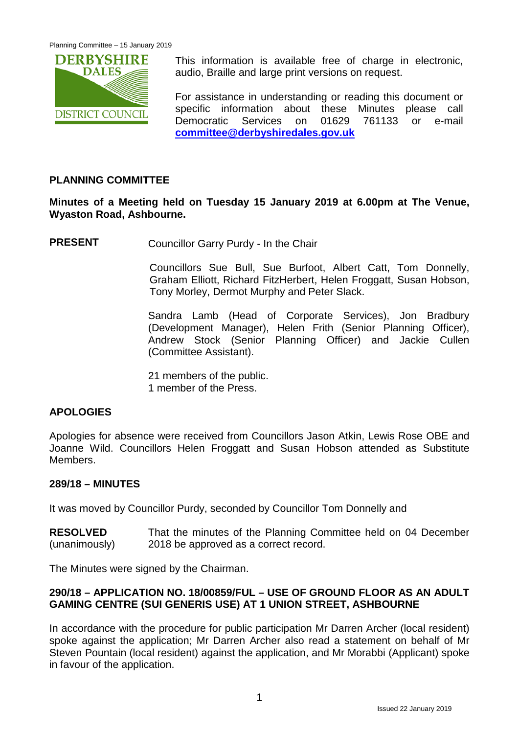

This information is available free of charge in electronic, audio, Braille and large print versions on request.

For assistance in understanding or reading this document or specific information about these Minutes please call Democratic Services on 01629 761133 or e-mail **[committee@derbyshiredales.gov.uk](mailto:committee@derbyshiredales.gov.uk)**

# **PLANNING COMMITTEE**

**Minutes of a Meeting held on Tuesday 15 January 2019 at 6.00pm at The Venue, Wyaston Road, Ashbourne.**

**PRESENT** Councillor Garry Purdy - In the Chair

Councillors Sue Bull, Sue Burfoot, Albert Catt, Tom Donnelly, Graham Elliott, Richard FitzHerbert, Helen Froggatt, Susan Hobson, Tony Morley, Dermot Murphy and Peter Slack.

Sandra Lamb (Head of Corporate Services), Jon Bradbury (Development Manager), Helen Frith (Senior Planning Officer), Andrew Stock (Senior Planning Officer) and Jackie Cullen (Committee Assistant).

21 members of the public. 1 member of the Press.

# **APOLOGIES**

Apologies for absence were received from Councillors Jason Atkin, Lewis Rose OBE and Joanne Wild. Councillors Helen Froggatt and Susan Hobson attended as Substitute Members.

#### **289/18 – MINUTES**

It was moved by Councillor Purdy, seconded by Councillor Tom Donnelly and

**RESOLVED** (unanimously) That the minutes of the Planning Committee held on 04 December 2018 be approved as a correct record.

The Minutes were signed by the Chairman.

# **290/18 – APPLICATION NO. 18/00859/FUL – USE OF GROUND FLOOR AS AN ADULT GAMING CENTRE (SUI GENERIS USE) AT 1 UNION STREET, ASHBOURNE**

In accordance with the procedure for public participation Mr Darren Archer (local resident) spoke against the application; Mr Darren Archer also read a statement on behalf of Mr Steven Pountain (local resident) against the application, and Mr Morabbi (Applicant) spoke in favour of the application.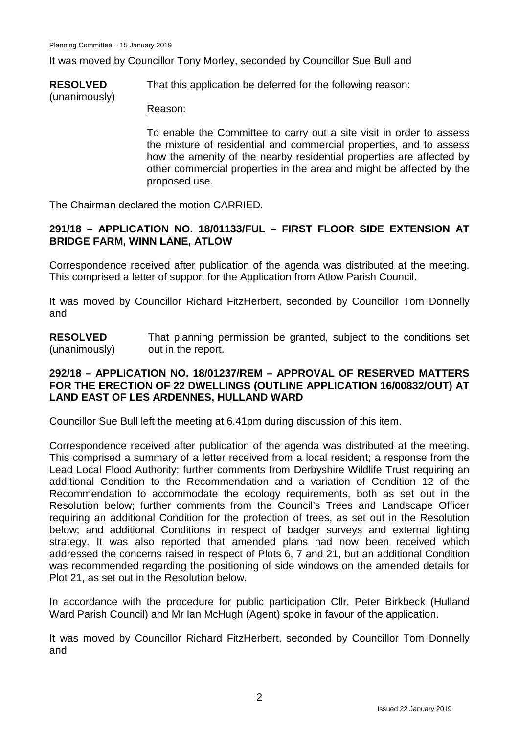It was moved by Councillor Tony Morley, seconded by Councillor Sue Bull and

**RESOLVED** (unanimously) That this application be deferred for the following reason:

Reason:

To enable the Committee to carry out a site visit in order to assess the mixture of residential and commercial properties, and to assess how the amenity of the nearby residential properties are affected by other commercial properties in the area and might be affected by the proposed use.

The Chairman declared the motion CARRIED.

# **291/18 – APPLICATION NO. 18/01133/FUL – FIRST FLOOR SIDE EXTENSION AT BRIDGE FARM, WINN LANE, ATLOW**

Correspondence received after publication of the agenda was distributed at the meeting. This comprised a letter of support for the Application from Atlow Parish Council.

It was moved by Councillor Richard FitzHerbert, seconded by Councillor Tom Donnelly and

**RESOLVED** (unanimously) That planning permission be granted, subject to the conditions set out in the report.

## **292/18 – APPLICATION NO. 18/01237/REM – APPROVAL OF RESERVED MATTERS FOR THE ERECTION OF 22 DWELLINGS (OUTLINE APPLICATION 16/00832/OUT) AT LAND EAST OF LES ARDENNES, HULLAND WARD**

Councillor Sue Bull left the meeting at 6.41pm during discussion of this item.

Correspondence received after publication of the agenda was distributed at the meeting. This comprised a summary of a letter received from a local resident; a response from the Lead Local Flood Authority; further comments from Derbyshire Wildlife Trust requiring an additional Condition to the Recommendation and a variation of Condition 12 of the Recommendation to accommodate the ecology requirements, both as set out in the Resolution below; further comments from the Council's Trees and Landscape Officer requiring an additional Condition for the protection of trees, as set out in the Resolution below; and additional Conditions in respect of badger surveys and external lighting strategy. It was also reported that amended plans had now been received which addressed the concerns raised in respect of Plots 6, 7 and 21, but an additional Condition was recommended regarding the positioning of side windows on the amended details for Plot 21, as set out in the Resolution below.

In accordance with the procedure for public participation Cllr. Peter Birkbeck (Hulland Ward Parish Council) and Mr Ian McHugh (Agent) spoke in favour of the application.

It was moved by Councillor Richard FitzHerbert, seconded by Councillor Tom Donnelly and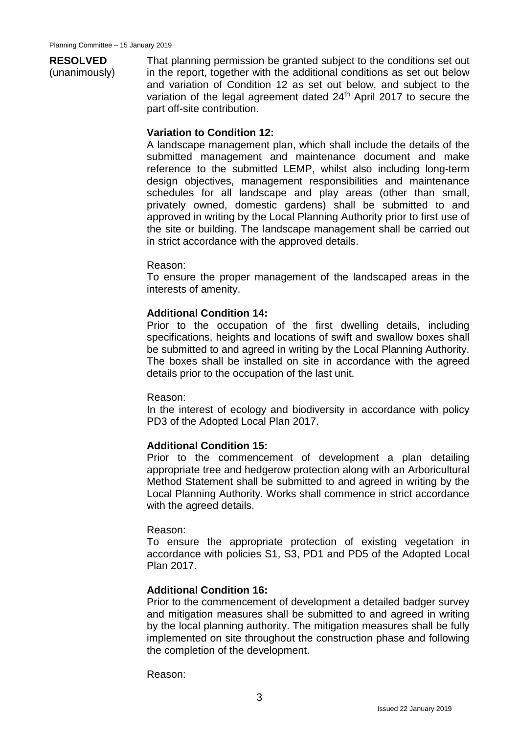# **RESOLVED**

(unanimously)

That planning permission be granted subject to the conditions set out in the report, together with the additional conditions as set out below and variation of Condition 12 as set out below, and subject to the variation of the legal agreement dated 24<sup>th</sup> April 2017 to secure the part off-site contribution.

# **Variation to Condition 12:**

A landscape management plan, which shall include the details of the submitted management and maintenance document and make reference to the submitted LEMP, whilst also including long-term design objectives, management responsibilities and maintenance schedules for all landscape and play areas (other than small, privately owned, domestic gardens) shall be submitted to and approved in writing by the Local Planning Authority prior to first use of the site or building. The landscape management shall be carried out in strict accordance with the approved details.

## Reason:

To ensure the proper management of the landscaped areas in the interests of amenity.

# **Additional Condition 14:**

Prior to the occupation of the first dwelling details, including specifications, heights and locations of swift and swallow boxes shall be submitted to and agreed in writing by the Local Planning Authority. The boxes shall be installed on site in accordance with the agreed details prior to the occupation of the last unit.

#### Reason:

In the interest of ecology and biodiversity in accordance with policy PD3 of the Adopted Local Plan 2017.

# **Additional Condition 15:**

Prior to the commencement of development a plan detailing appropriate tree and hedgerow protection along with an Arboricultural Method Statement shall be submitted to and agreed in writing by the Local Planning Authority. Works shall commence in strict accordance with the agreed details.

#### Reason:

To ensure the appropriate protection of existing vegetation in accordance with policies S1, S3, PD1 and PD5 of the Adopted Local Plan 2017.

# **Additional Condition 16:**

Prior to the commencement of development a detailed badger survey and mitigation measures shall be submitted to and agreed in writing by the local planning authority. The mitigation measures shall be fully implemented on site throughout the construction phase and following the completion of the development.

Reason: